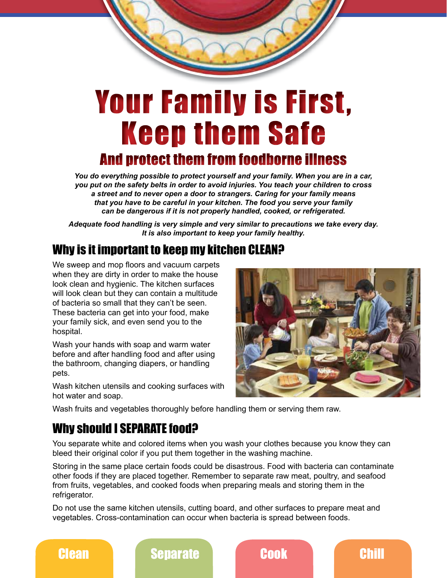# Your Family is First, Keep them Safe

## And protect them from foodborne illness

*You do everything possible to protect yourself and your family. When you are in a car, you put on the safety belts in order to avoid injuries. You teach your children to cross a street and to never open a door to strangers. Caring for your family means that you have to be careful in your kitchen. The food you serve your family can be dangerous if it is not properly handled, cooked, or refrigerated.*

*Adequate food handling is very simple and very similar to precautions we take every day. It is also important to keep your family healthy.*

#### Why is it important to keep my kitchen CLEAN?

We sweep and mop floors and vacuum carpets when they are dirty in order to make the house look clean and hygienic. The kitchen surfaces will look clean but they can contain a multitude of bacteria so small that they can't be seen. These bacteria can get into your food, make your family sick, and even send you to the hospital.

Wash your hands with soap and warm water before and after handling food and after using the bathroom, changing diapers, or handling pets.

Wash kitchen utensils and cooking surfaces with hot water and soap.



Wash fruits and vegetables thoroughly before handling them or serving them raw.

## Why should I SEPARATE food?

You separate white and colored items when you wash your clothes because you know they can bleed their original color if you put them together in the washing machine.

Storing in the same place certain foods could be disastrous. Food with bacteria can contaminate other foods if they are placed together. Remember to separate raw meat, poultry, and seafood from fruits, vegetables, and cooked foods when preparing meals and storing them in the refrigerator.

Do not use the same kitchen utensils, cutting board, and other surfaces to prepare meat and vegetables. Cross-contamination can occur when bacteria is spread between foods.